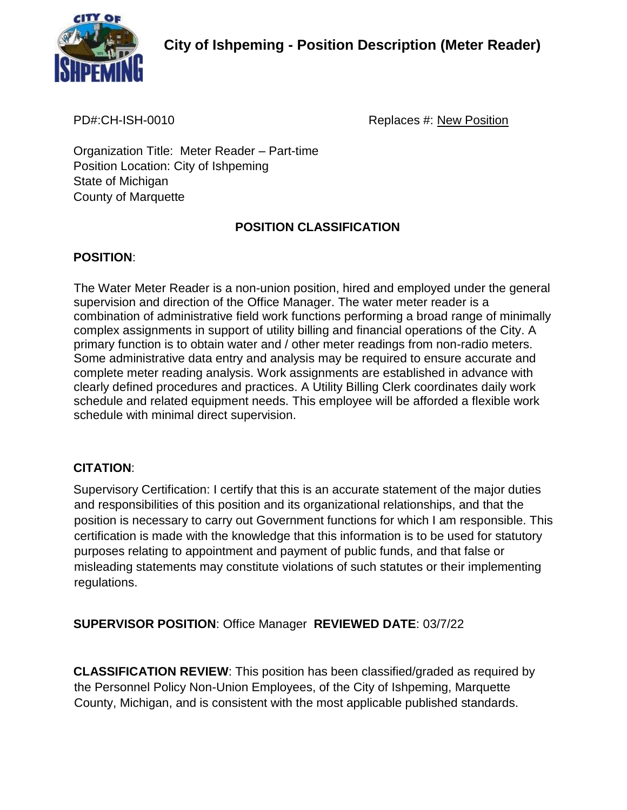

**City of Ishpeming - Position Description (Meter Reader)**

PD#:CH-ISH-0010 Replaces #: New Position

Organization Title: Meter Reader – Part-time Position Location: City of Ishpeming State of Michigan County of Marquette

# **POSITION CLASSIFICATION**

## **POSITION**:

The Water Meter Reader is a non-union position, hired and employed under the general supervision and direction of the Office Manager. The water meter reader is a combination of administrative field work functions performing a broad range of minimally complex assignments in support of utility billing and financial operations of the City. A primary function is to obtain water and / other meter readings from non-radio meters. Some administrative data entry and analysis may be required to ensure accurate and complete meter reading analysis. Work assignments are established in advance with clearly defined procedures and practices. A Utility Billing Clerk coordinates daily work schedule and related equipment needs. This employee will be afforded a flexible work schedule with minimal direct supervision.

### **CITATION**:

Supervisory Certification: I certify that this is an accurate statement of the major duties and responsibilities of this position and its organizational relationships, and that the position is necessary to carry out Government functions for which I am responsible. This certification is made with the knowledge that this information is to be used for statutory purposes relating to appointment and payment of public funds, and that false or misleading statements may constitute violations of such statutes or their implementing regulations.

**SUPERVISOR POSITION**: Office Manager **REVIEWED DATE**: 03/7/22

**CLASSIFICATION REVIEW**: This position has been classified/graded as required by the Personnel Policy Non-Union Employees, of the City of Ishpeming, Marquette County, Michigan, and is consistent with the most applicable published standards.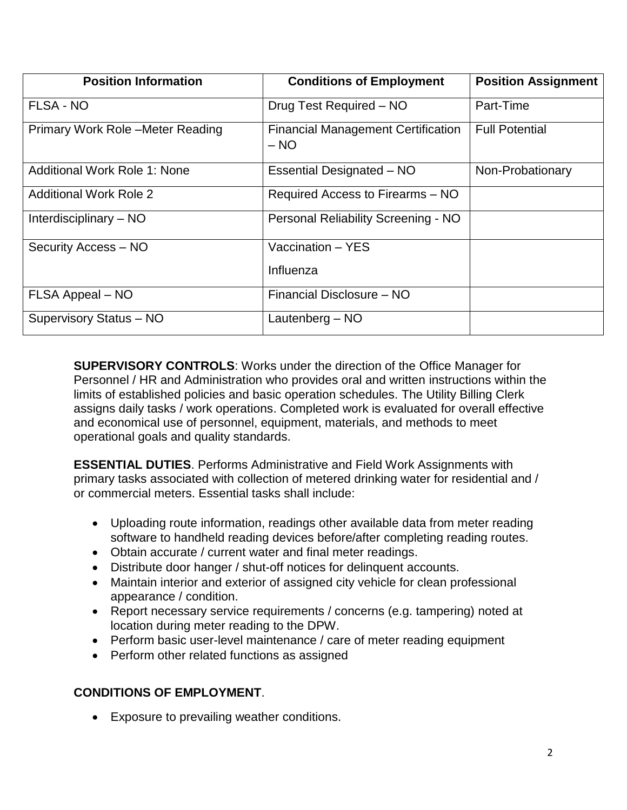| <b>Position Information</b>         | <b>Conditions of Employment</b>                     | <b>Position Assignment</b> |
|-------------------------------------|-----------------------------------------------------|----------------------------|
| <b>FLSA - NO</b>                    | Drug Test Required - NO                             | Part-Time                  |
| Primary Work Role - Meter Reading   | <b>Financial Management Certification</b><br>$- NO$ | <b>Full Potential</b>      |
| <b>Additional Work Role 1: None</b> | Essential Designated - NO                           | Non-Probationary           |
| <b>Additional Work Role 2</b>       | Required Access to Firearms – NO                    |                            |
| Interdisciplinary $-$ NO            | Personal Reliability Screening - NO                 |                            |
| Security Access - NO                | Vaccination - YES                                   |                            |
|                                     | Influenza                                           |                            |
| FLSA Appeal - NO                    | Financial Disclosure - NO                           |                            |
| Supervisory Status - NO             | Lautenberg $-$ NO                                   |                            |

**SUPERVISORY CONTROLS**: Works under the direction of the Office Manager for Personnel / HR and Administration who provides oral and written instructions within the limits of established policies and basic operation schedules. The Utility Billing Clerk assigns daily tasks / work operations. Completed work is evaluated for overall effective and economical use of personnel, equipment, materials, and methods to meet operational goals and quality standards.

**ESSENTIAL DUTIES**. Performs Administrative and Field Work Assignments with primary tasks associated with collection of metered drinking water for residential and / or commercial meters. Essential tasks shall include:

- Uploading route information, readings other available data from meter reading software to handheld reading devices before/after completing reading routes.
- Obtain accurate / current water and final meter readings.
- Distribute door hanger / shut-off notices for delinquent accounts.
- Maintain interior and exterior of assigned city vehicle for clean professional appearance / condition.
- Report necessary service requirements / concerns (e.g. tampering) noted at location during meter reading to the DPW.
- Perform basic user-level maintenance / care of meter reading equipment
- Perform other related functions as assigned

### **CONDITIONS OF EMPLOYMENT**.

• Exposure to prevailing weather conditions.